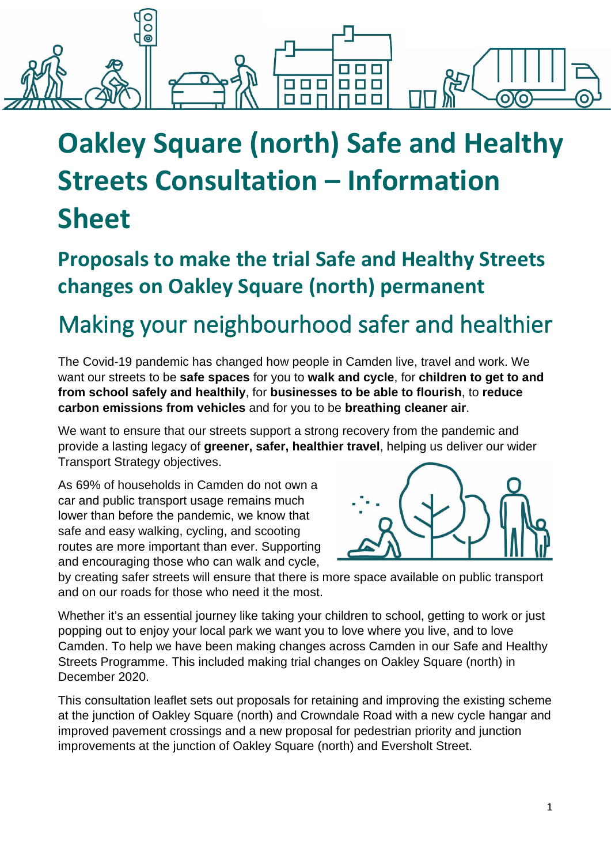

# **Oakley Square (north) Safe and Healthy Streets Consultation – Information Sheet**

**Proposals to make the trial Safe and Healthy Streets changes on Oakley Square (north) permanent**

## Making your neighbourhood safer and healthier

The Covid-19 pandemic has changed how people in Camden live, travel and work. We want our streets to be **safe spaces** for you to **walk and cycle**, for **children to get to and from school safely and healthily**, for **businesses to be able to flourish**, to **reduce carbon emissions from vehicles** and for you to be **breathing cleaner air**.

We want to ensure that our streets support a strong recovery from the pandemic and provide a lasting legacy of **greener, safer, healthier travel**, helping us deliver our wider Transport Strategy objectives.

As 69% of households in Camden do not own a car and public transport usage remains much lower than before the pandemic, we know that safe and easy walking, cycling, and scooting routes are more important than ever. Supporting and encouraging those who can walk and cycle,



by creating safer streets will ensure that there is more space available on public transport and on our roads for those who need it the most.

Whether it's an essential journey like taking your children to school, getting to work or just popping out to enjoy your local park we want you to love where you live, and to love Camden. To help we have been making changes across Camden in our Safe and Healthy Streets Programme. This included making trial changes on Oakley Square (north) in December 2020.

This consultation leaflet sets out proposals for retaining and improving the existing scheme at the junction of Oakley Square (north) and Crowndale Road with a new cycle hangar and improved pavement crossings and a new proposal for pedestrian priority and junction improvements at the junction of Oakley Square (north) and Eversholt Street.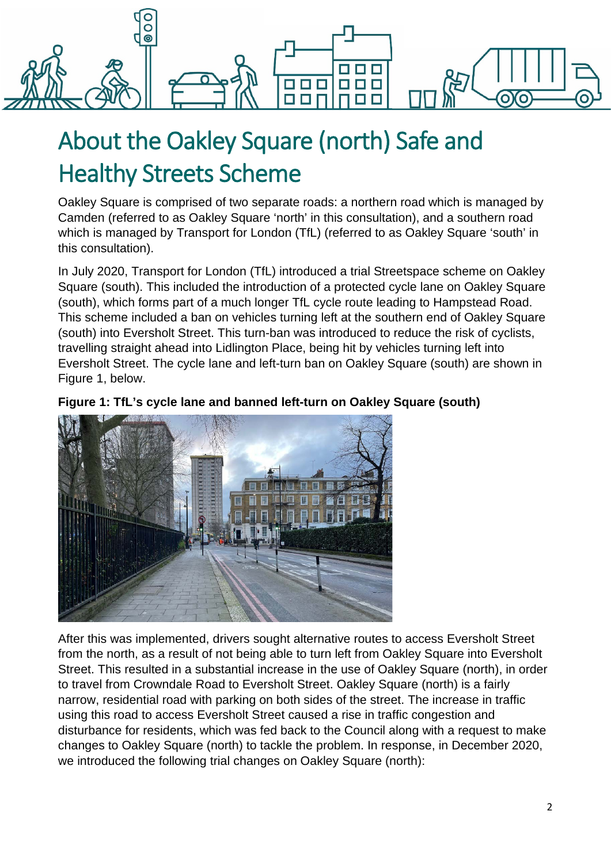

# About the Oakley Square (north) Safe and Healthy Streets Scheme

Oakley Square is comprised of two separate roads: a northern road which is managed by Camden (referred to as Oakley Square 'north' in this consultation), and a southern road which is managed by Transport for London (TfL) (referred to as Oakley Square 'south' in this consultation).

In July 2020, Transport for London (TfL) introduced a trial Streetspace scheme on Oakley Square (south). This included the introduction of a protected cycle lane on Oakley Square (south), which forms part of a much longer TfL cycle route leading to Hampstead Road. This scheme included a ban on vehicles turning left at the southern end of Oakley Square (south) into Eversholt Street. This turn-ban was introduced to reduce the risk of cyclists, travelling straight ahead into Lidlington Place, being hit by vehicles turning left into Eversholt Street. The cycle lane and left-turn ban on Oakley Square (south) are shown in Figure 1, below.

### **Figure 1: TfL's cycle lane and banned left-turn on Oakley Square (south)**



After this was implemented, drivers sought alternative routes to access Eversholt Street from the north, as a result of not being able to turn left from Oakley Square into Eversholt Street. This resulted in a substantial increase in the use of Oakley Square (north), in order to travel from Crowndale Road to Eversholt Street. Oakley Square (north) is a fairly narrow, residential road with parking on both sides of the street. The increase in traffic using this road to access Eversholt Street caused a rise in traffic congestion and disturbance for residents, which was fed back to the Council along with a request to make changes to Oakley Square (north) to tackle the problem. In response, in December 2020, we introduced the following trial changes on Oakley Square (north):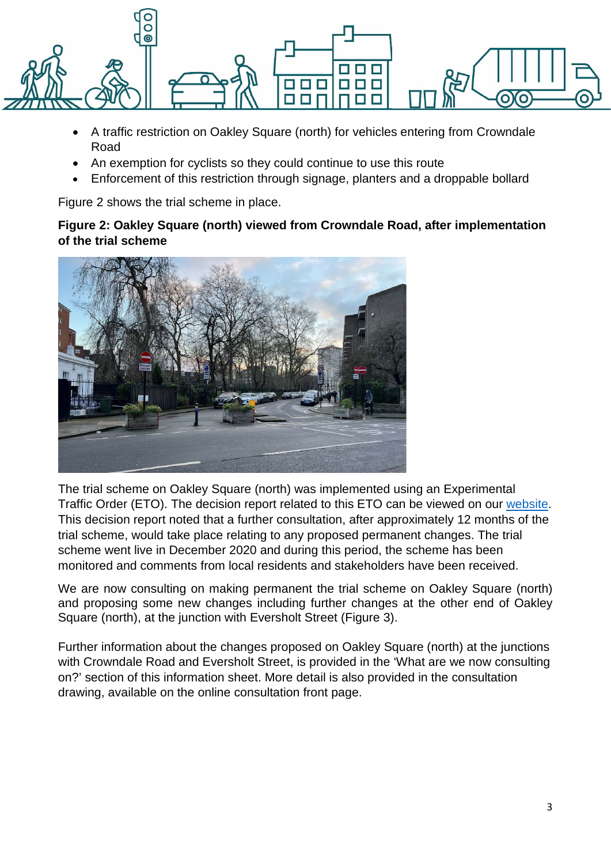

- A traffic restriction on Oakley Square (north) for vehicles entering from Crowndale Road
- An exemption for cyclists so they could continue to use this route
- Enforcement of this restriction through signage, planters and a droppable bollard

Figure 2 shows the trial scheme in place.

### **Figure 2: Oakley Square (north) viewed from Crowndale Road, after implementation of the trial scheme**



The trial scheme on Oakley Square (north) was implemented using an Experimental Traffic Order (ETO). The decision report related to this ETO can be viewed on our [website.](https://democracy.camden.gov.uk/ieDecisionDetails.aspx?ID=3096) This decision report noted that a further consultation, after approximately 12 months of the trial scheme, would take place relating to any proposed permanent changes. The trial scheme went live in December 2020 and during this period, the scheme has been monitored and comments from local residents and stakeholders have been received.

We are now consulting on making permanent the trial scheme on Oakley Square (north) and proposing some new changes including further changes at the other end of Oakley Square (north), at the junction with Eversholt Street (Figure 3).

Further information about the changes proposed on Oakley Square (north) at the junctions with Crowndale Road and Eversholt Street, is provided in the 'What are we now consulting on?' section of this information sheet. More detail is also provided in the consultation drawing, available on the online consultation front page.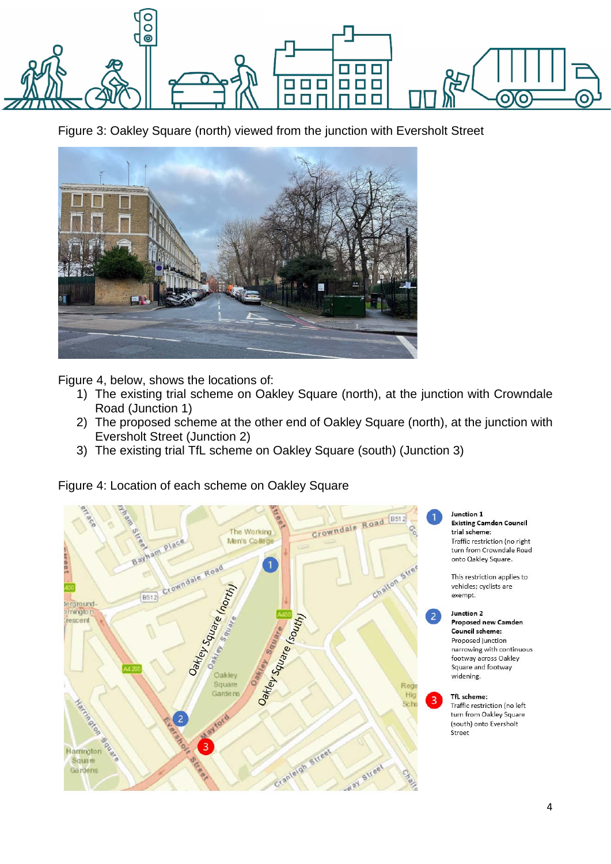

Figure 3: Oakley Square (north) viewed from the junction with Eversholt Street



Figure 4, below, shows the locations of:

- 1) The existing trial scheme on Oakley Square (north), at the junction with Crowndale Road (Junction 1)
- 2) The proposed scheme at the other end of Oakley Square (north), at the junction with Eversholt Street (Junction 2)
- 3) The existing trial TfL scheme on Oakley Square (south) (Junction 3)

Figure 4: Location of each scheme on Oakley Square

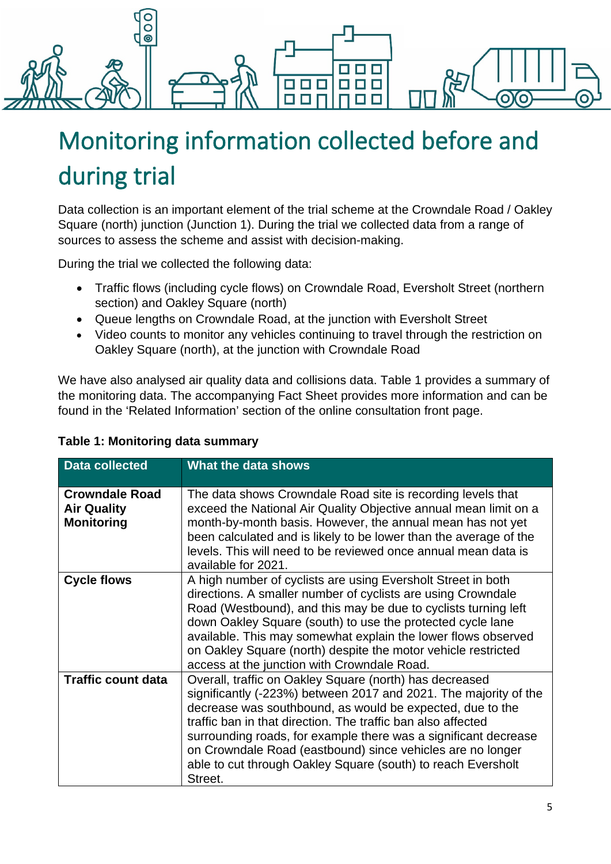

# Monitoring information collected before and during trial

Data collection is an important element of the trial scheme at the Crowndale Road / Oakley Square (north) junction (Junction 1). During the trial we collected data from a range of sources to assess the scheme and assist with decision-making.

During the trial we collected the following data:

- Traffic flows (including cycle flows) on Crowndale Road, Eversholt Street (northern section) and Oakley Square (north)
- Queue lengths on Crowndale Road, at the junction with Eversholt Street
- Video counts to monitor any vehicles continuing to travel through the restriction on Oakley Square (north), at the junction with Crowndale Road

We have also analysed air quality data and collisions data. Table 1 provides a summary of the monitoring data. The accompanying Fact Sheet provides more information and can be found in the 'Related Information' section of the online consultation front page.

| <b>Data collected</b>                                            | What the data shows                                                                                                                                                                                                                                                                                                                                                                                                                                                  |
|------------------------------------------------------------------|----------------------------------------------------------------------------------------------------------------------------------------------------------------------------------------------------------------------------------------------------------------------------------------------------------------------------------------------------------------------------------------------------------------------------------------------------------------------|
|                                                                  |                                                                                                                                                                                                                                                                                                                                                                                                                                                                      |
| <b>Crowndale Road</b><br><b>Air Quality</b><br><b>Monitoring</b> | The data shows Crowndale Road site is recording levels that<br>exceed the National Air Quality Objective annual mean limit on a<br>month-by-month basis. However, the annual mean has not yet<br>been calculated and is likely to be lower than the average of the<br>levels. This will need to be reviewed once annual mean data is<br>available for 2021.                                                                                                          |
| <b>Cycle flows</b>                                               | A high number of cyclists are using Eversholt Street in both<br>directions. A smaller number of cyclists are using Crowndale<br>Road (Westbound), and this may be due to cyclists turning left<br>down Oakley Square (south) to use the protected cycle lane<br>available. This may somewhat explain the lower flows observed<br>on Oakley Square (north) despite the motor vehicle restricted<br>access at the junction with Crowndale Road.                        |
| <b>Traffic count data</b>                                        | Overall, traffic on Oakley Square (north) has decreased<br>significantly (-223%) between 2017 and 2021. The majority of the<br>decrease was southbound, as would be expected, due to the<br>traffic ban in that direction. The traffic ban also affected<br>surrounding roads, for example there was a significant decrease<br>on Crowndale Road (eastbound) since vehicles are no longer<br>able to cut through Oakley Square (south) to reach Eversholt<br>Street. |

### **Table 1: Monitoring data summary**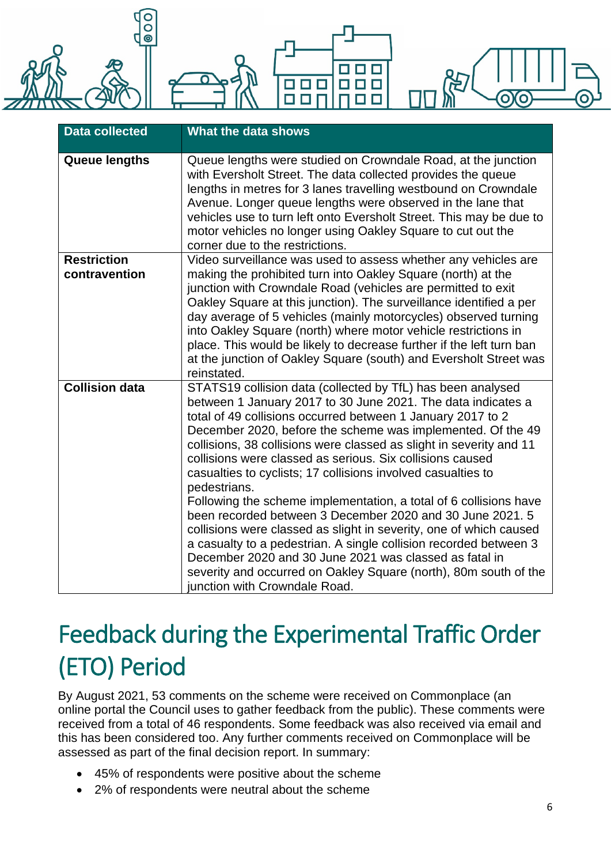

| <b>Data collected</b>               | What the data shows                                                                                                                                                                                                                                                                                                                                                                                                                                                                                                                                                                                                                                                                                                                                                                                                                                                                                                       |
|-------------------------------------|---------------------------------------------------------------------------------------------------------------------------------------------------------------------------------------------------------------------------------------------------------------------------------------------------------------------------------------------------------------------------------------------------------------------------------------------------------------------------------------------------------------------------------------------------------------------------------------------------------------------------------------------------------------------------------------------------------------------------------------------------------------------------------------------------------------------------------------------------------------------------------------------------------------------------|
| <b>Queue lengths</b>                | Queue lengths were studied on Crowndale Road, at the junction<br>with Eversholt Street. The data collected provides the queue<br>lengths in metres for 3 lanes travelling westbound on Crowndale<br>Avenue. Longer queue lengths were observed in the lane that<br>vehicles use to turn left onto Eversholt Street. This may be due to<br>motor vehicles no longer using Oakley Square to cut out the<br>corner due to the restrictions.                                                                                                                                                                                                                                                                                                                                                                                                                                                                                  |
| <b>Restriction</b><br>contravention | Video surveillance was used to assess whether any vehicles are<br>making the prohibited turn into Oakley Square (north) at the<br>junction with Crowndale Road (vehicles are permitted to exit<br>Oakley Square at this junction). The surveillance identified a per<br>day average of 5 vehicles (mainly motorcycles) observed turning<br>into Oakley Square (north) where motor vehicle restrictions in<br>place. This would be likely to decrease further if the left turn ban<br>at the junction of Oakley Square (south) and Eversholt Street was<br>reinstated.                                                                                                                                                                                                                                                                                                                                                     |
| <b>Collision data</b>               | STATS19 collision data (collected by TfL) has been analysed<br>between 1 January 2017 to 30 June 2021. The data indicates a<br>total of 49 collisions occurred between 1 January 2017 to 2<br>December 2020, before the scheme was implemented. Of the 49<br>collisions, 38 collisions were classed as slight in severity and 11<br>collisions were classed as serious. Six collisions caused<br>casualties to cyclists; 17 collisions involved casualties to<br>pedestrians.<br>Following the scheme implementation, a total of 6 collisions have<br>been recorded between 3 December 2020 and 30 June 2021. 5<br>collisions were classed as slight in severity, one of which caused<br>a casualty to a pedestrian. A single collision recorded between 3<br>December 2020 and 30 June 2021 was classed as fatal in<br>severity and occurred on Oakley Square (north), 80m south of the<br>junction with Crowndale Road. |

## Feedback during the Experimental Traffic Order (ETO) Period

By August 2021, 53 comments on the scheme were received on Commonplace (an online portal the Council uses to gather feedback from the public). These comments were received from a total of 46 respondents. Some feedback was also received via email and this has been considered too. Any further comments received on Commonplace will be assessed as part of the final decision report. In summary:

- 45% of respondents were positive about the scheme
- 2% of respondents were neutral about the scheme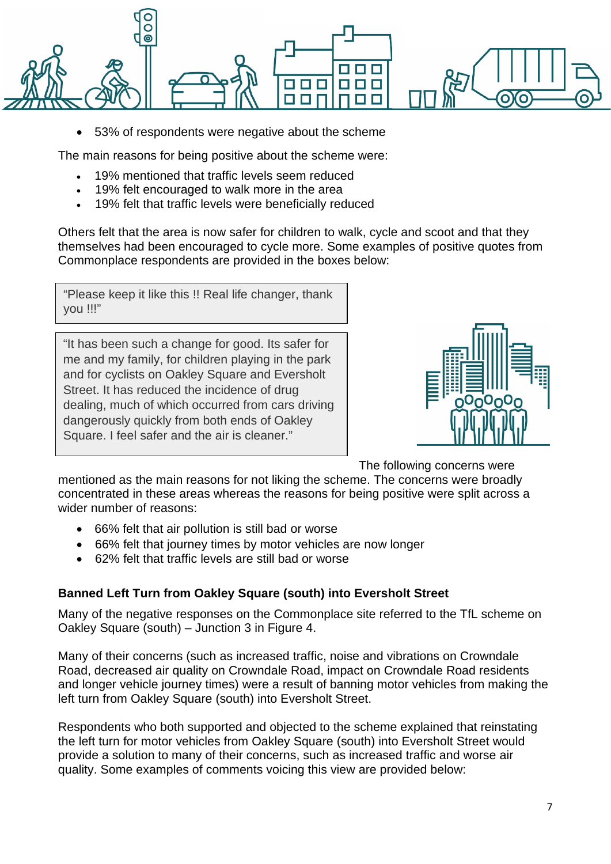

• 53% of respondents were negative about the scheme

The main reasons for being positive about the scheme were:

- 19% mentioned that traffic levels seem reduced
- 19% felt encouraged to walk more in the area
- 19% felt that traffic levels were beneficially reduced

Others felt that the area is now safer for children to walk, cycle and scoot and that they themselves had been encouraged to cycle more. Some examples of positive quotes from Commonplace respondents are provided in the boxes below:

"Please keep it like this !! Real life changer, thank you !!!"

"It has been such a change for good. Its safer for me and my family, for children playing in the park and for cyclists on Oakley Square and Eversholt Street. It has reduced the incidence of drug dealing, much of which occurred from cars driving dangerously quickly from both ends of Oakley Square. I feel safer and the air is cleaner."



The following concerns were

mentioned as the main reasons for not liking the scheme. The concerns were broadly concentrated in these areas whereas the reasons for being positive were split across a wider number of reasons:

- 66% felt that air pollution is still bad or worse
- 66% felt that journey times by motor vehicles are now longer
- 62% felt that traffic levels are still bad or worse

### **Banned Left Turn from Oakley Square (south) into Eversholt Street**

Many of the negative responses on the Commonplace site referred to the TfL scheme on Oakley Square (south) – Junction 3 in Figure 4.

Many of their concerns (such as increased traffic, noise and vibrations on Crowndale Road, decreased air quality on Crowndale Road, impact on Crowndale Road residents and longer vehicle journey times) were a result of banning motor vehicles from making the left turn from Oakley Square (south) into Eversholt Street.

Respondents who both supported and objected to the scheme explained that reinstating the left turn for motor vehicles from Oakley Square (south) into Eversholt Street would provide a solution to many of their concerns, such as increased traffic and worse air quality. Some examples of comments voicing this view are provided below: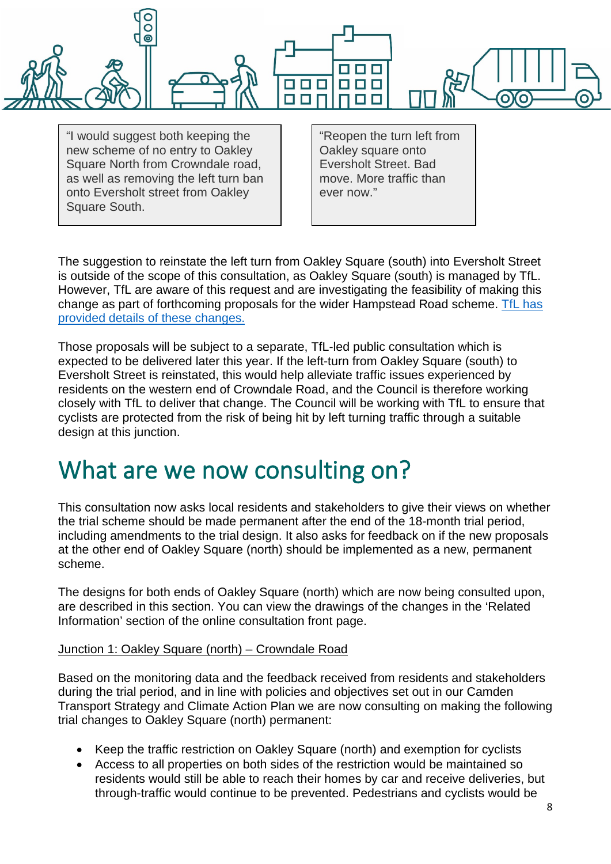

"I would suggest both keeping the new scheme of no entry to Oakley Square North from Crowndale road, as well as removing the left turn ban onto Eversholt street from Oakley Square South.

"Reopen the turn left from Oakley square onto Eversholt Street. Bad move. More traffic than ever now."

The suggestion to reinstate the left turn from Oakley Square (south) into Eversholt Street is outside of the scope of this consultation, as Oakley Square (south) is managed by TfL. However, TfL are aware of this request and are investigating the feasibility of making this change as part of forthcoming proposals for the wider Hampstead Road scheme. [TfL has](https://haveyoursay.tfl.gov.uk/hampstead-road) [provided details of these changes.](https://haveyoursay.tfl.gov.uk/hampstead-road)

Those proposals will be subject to a separate, TfL-led public consultation which is expected to be delivered later this year. If the left-turn from Oakley Square (south) to Eversholt Street is reinstated, this would help alleviate traffic issues experienced by residents on the western end of Crowndale Road, and the Council is therefore working closely with TfL to deliver that change. The Council will be working with TfL to ensure that cyclists are protected from the risk of being hit by left turning traffic through a suitable design at this junction.

## What are we now consulting on?

This consultation now asks local residents and stakeholders to give their views on whether the trial scheme should be made permanent after the end of the 18-month trial period, including amendments to the trial design. It also asks for feedback on if the new proposals at the other end of Oakley Square (north) should be implemented as a new, permanent scheme.

The designs for both ends of Oakley Square (north) which are now being consulted upon, are described in this section. You can view the drawings of the changes in the 'Related Information' section of the online consultation front page.

### Junction 1: Oakley Square (north) – Crowndale Road

Based on the monitoring data and the feedback received from residents and stakeholders during the trial period, and in line with policies and objectives set out in our Camden Transport Strategy and Climate Action Plan we are now consulting on making the following trial changes to Oakley Square (north) permanent:

- Keep the traffic restriction on Oakley Square (north) and exemption for cyclists
- Access to all properties on both sides of the restriction would be maintained so residents would still be able to reach their homes by car and receive deliveries, but through-traffic would continue to be prevented. Pedestrians and cyclists would be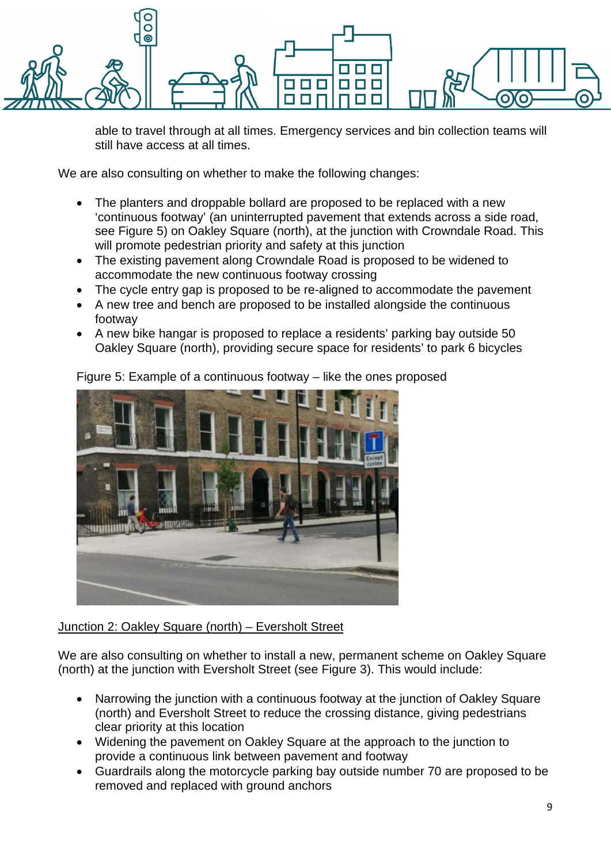

able to travel through at all times. Emergency services and bin collection teams will still have access at all times.

We are also consulting on whether to make the following changes:

- The planters and droppable bollard are proposed to be replaced with a new 'continuous footway' (an uninterrupted pavement that extends across a side road, see Figure 5) on Oakley Square (north), at the junction with Crowndale Road. This will promote pedestrian priority and safety at this junction
- The existing pavement along Crowndale Road is proposed to be widened to accommodate the new continuous footway crossing
- The cycle entry gap is proposed to be re-aligned to accommodate the pavement
- A new tree and bench are proposed to be installed alongside the continuous footway
- A new bike hangar is proposed to replace a residents' parking bay outside 50 Oakley Square (north), providing secure space for residents' to park 6 bicycles



Figure 5: Example of a continuous footway – like the ones proposed

### Junction 2: Oakley Square (north) – Eversholt Street

We are also consulting on whether to install a new, permanent scheme on Oakley Square (north) at the junction with Eversholt Street (see Figure 3). This would include:

- Narrowing the junction with a continuous footway at the junction of Oakley Square (north) and Eversholt Street to reduce the crossing distance, giving pedestrians clear priority at this location
- Widening the pavement on Oakley Square at the approach to the junction to provide a continuous link between pavement and footway
- Guardrails along the motorcycle parking bay outside number 70 are proposed to be removed and replaced with ground anchors